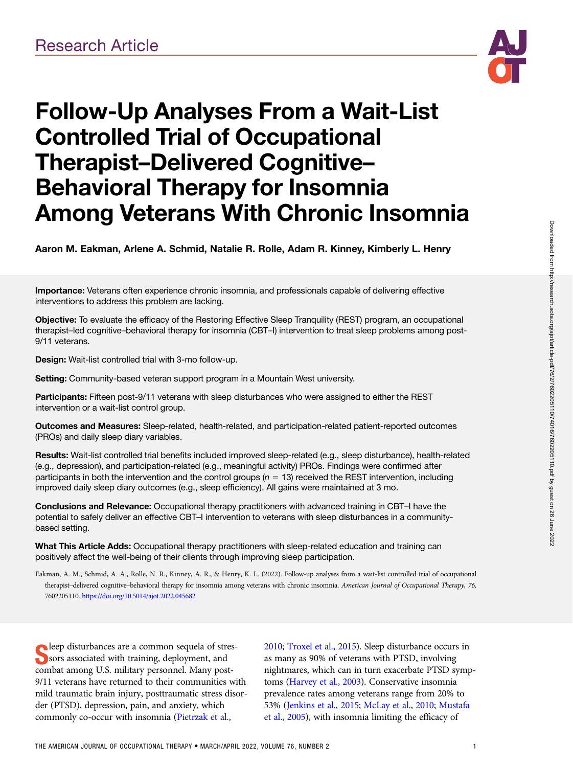

# Follow-Up Analyses From a Wait-List Controlled Trial of Occupational Therapist–Delivered Cognitive– Behavioral Therapy for Insomnia Among Veterans With Chronic Insomnia

Aaron M. Eakman, Arlene A. Schmid, Natalie R. Rolle, Adam R. Kinney, Kimberly L. Henry

Importance: Veterans often experience chronic insomnia, and professionals capable of delivering effective interventions to address this problem are lacking.

Objective: To evaluate the efficacy of the Restoring Effective Sleep Tranquility (REST) program, an occupational therapist–led cognitive–behavioral therapy for insomnia (CBT–I) intervention to treat sleep problems among post-9/11 veterans.

Design: Wait-list controlled trial with 3-mo follow-up.

Setting: Community-based veteran support program in a Mountain West university.

Participants: Fifteen post-9/11 veterans with sleep disturbances who were assigned to either the REST intervention or a wait-list control group.

Outcomes and Measures: Sleep-related, health-related, and participation-related patient-reported outcomes (PROs) and daily sleep diary variables.

Results: Wait-list controlled trial benefits included improved sleep-related (e.g., sleep disturbance), health-related (e.g., depression), and participation-related (e.g., meaningful activity) PROs. Findings were confirmed after participants in both the intervention and the control groups ( $n = 13$ ) received the REST intervention, including improved daily sleep diary outcomes (e.g., sleep efficiency). All gains were maintained at 3 mo.

Conclusions and Relevance: Occupational therapy practitioners with advanced training in CBT-I have the potential to safely deliver an effective CBT–I intervention to veterans with sleep disturbances in a communitybased setting.

What This Article Adds: Occupational therapy practitioners with sleep-related education and training can positively affect the well-being of their clients through improving sleep participation.

Eakman, A. M., Schmid, A. A., Rolle, N. R., Kinney, A. R., & Henry, K. L. (2022). Follow-up analyses from a wait-list controlled trial of occupational therapist-delivered cognitive-behavioral therapy for insomnia among veterans with chronic insomnia. American Journal of Occupational Therapy, 76, 7602205110. https://doi.org/10.5014/ajot.2022.045682

Seep disturbances are a common sequela of straining<br>Soors associated with training, deployment, and<br>sembet emerge U.S. military newsanged Mary news leep disturbances are a common sequela of strescombat among U.S. military personnel. Many post-9/11 veterans have returned to their communities with mild traumatic brain injury, posttraumatic stress disorder (PTSD), depression, pain, and anxiety, which commonly co-occur with insomnia [\(Pietrzak et al.,](#page-8-0)

[2010](#page-8-0); [Troxel et al., 2015\)](#page-8-0). Sleep disturbance occurs in as many as 90% of veterans with PTSD, involving nightmares, which can in turn exacerbate PTSD symptoms [\(Harvey et al., 2003](#page-8-0)). Conservative insomnia prevalence rates among veterans range from 20% to 53% ([Jenkins et al., 2015](#page-8-0); [McLay et al., 2010;](#page-8-0) [Mustafa](#page-8-0) [et al., 2005\)](#page-8-0), with insomnia limiting the efficacy of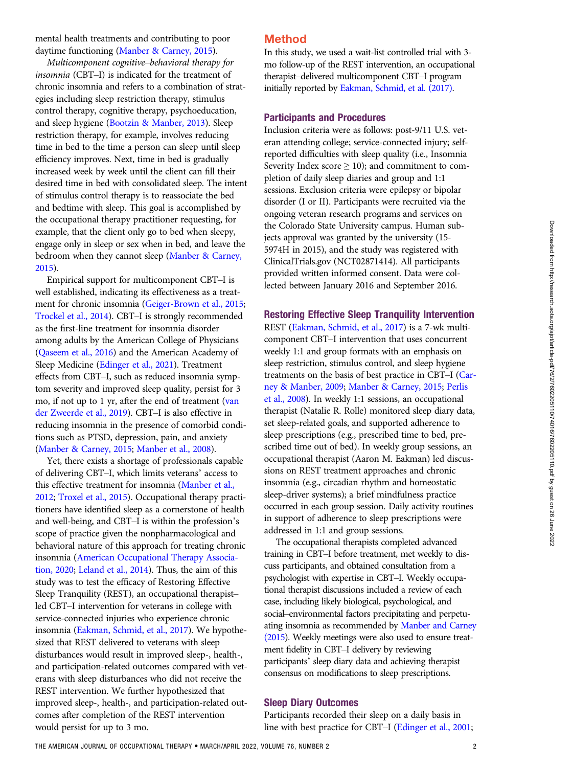mental health treatments and contributing to poor daytime functioning [\(Manber & Carney, 2015\)](#page-8-0).

Multicomponent cognitive–behavioral therapy for insomnia (CBT–I) is indicated for the treatment of chronic insomnia and refers to a combination of strategies including sleep restriction therapy, stimulus control therapy, cognitive therapy, psychoeducation, and sleep hygiene ([Bootzin & Manber, 2013](#page-7-0)). Sleep restriction therapy, for example, involves reducing time in bed to the time a person can sleep until sleep efficiency improves. Next, time in bed is gradually increased week by week until the client can fill their desired time in bed with consolidated sleep. The intent of stimulus control therapy is to reassociate the bed and bedtime with sleep. This goal is accomplished by the occupational therapy practitioner requesting, for example, that the client only go to bed when sleepy, engage only in sleep or sex when in bed, and leave the bedroom when they cannot sleep ([Manber & Carney,](#page-8-0) [2015](#page-8-0)).

Empirical support for multicomponent CBT–I is well established, indicating its effectiveness as a treatment for chronic insomnia [\(Geiger-Brown et al., 2015](#page-7-0); [Trockel et al., 2014\)](#page-8-0). CBT–I is strongly recommended as the first-line treatment for insomnia disorder among adults by the American College of Physicians [\(Qaseem et al., 2016](#page-8-0)) and the American Academy of Sleep Medicine ([Edinger et al., 2021](#page-7-0)). Treatment effects from CBT–I, such as reduced insomnia symptom severity and improved sleep quality, persist for 3 mo, if not up to 1 yr, after the end of treatment [\(van](#page-8-0) [der Zweerde et al., 2019\)](#page-8-0). CBT–I is also effective in reducing insomnia in the presence of comorbid conditions such as PTSD, depression, pain, and anxiety [\(Manber & Carney, 2015](#page-8-0); [Manber et al., 2008](#page-8-0)).

Yet, there exists a shortage of professionals capable of delivering CBT–I, which limits veterans' access to this effective treatment for insomnia [\(Manber et al.,](#page-8-0) [2012](#page-8-0); [Troxel et al., 2015\)](#page-8-0). Occupational therapy practitioners have identified sleep as a cornerstone of health and well-being, and CBT–I is within the profession's scope of practice given the nonpharmacological and behavioral nature of this approach for treating chronic insomnia [\(American Occupational Therapy Associa](#page-7-0)[tion, 2020](#page-7-0); [Leland et al., 2014](#page-8-0)). Thus, the aim of this study was to test the efficacy of Restoring Effective Sleep Tranquility (REST), an occupational therapist– led CBT–I intervention for veterans in college with service-connected injuries who experience chronic insomnia [\(Eakman, Schmid, et al., 2017](#page-7-0)). We hypothesized that REST delivered to veterans with sleep disturbances would result in improved sleep-, health-, and participation-related outcomes compared with veterans with sleep disturbances who did not receive the REST intervention. We further hypothesized that improved sleep-, health-, and participation-related outcomes after completion of the REST intervention would persist for up to 3 mo.

## Method

In this study, we used a wait-list controlled trial with 3 mo follow-up of the REST intervention, an occupational therapist–delivered multicomponent CBT–I program initially reported by [Eakman, Schmid, et al. \(2017\).](#page-7-0)

#### Participants and Procedures

Inclusion criteria were as follows: post-9/11 U.S. veteran attending college; service-connected injury; selfreported difficulties with sleep quality (i.e., Insomnia Severity Index score  $\geq 10$ ); and commitment to completion of daily sleep diaries and group and 1:1 sessions. Exclusion criteria were epilepsy or bipolar disorder (I or II). Participants were recruited via the ongoing veteran research programs and services on the Colorado State University campus. Human subjects approval was granted by the university (15- 5974H in 2015), and the study was registered with ClinicalTrials.gov (NCT02871414). All participants provided written informed consent. Data were collected between January 2016 and September 2016.

#### Restoring Effective Sleep Tranquility Intervention

REST [\(Eakman, Schmid, et al., 2017\)](#page-7-0) is a 7-wk multicomponent CBT–I intervention that uses concurrent weekly 1:1 and group formats with an emphasis on sleep restriction, stimulus control, and sleep hygiene treatments on the basis of best practice in CBT–I ([Car](#page-7-0)[ney & Manber, 2009;](#page-7-0) [Manber & Carney, 2015;](#page-8-0) [Perlis](#page-8-0) [et al., 2008\)](#page-8-0). In weekly 1:1 sessions, an occupational therapist (Natalie R. Rolle) monitored sleep diary data, set sleep-related goals, and supported adherence to sleep prescriptions (e.g., prescribed time to bed, prescribed time out of bed). In weekly group sessions, an occupational therapist (Aaron M. Eakman) led discussions on REST treatment approaches and chronic insomnia (e.g., circadian rhythm and homeostatic sleep-driver systems); a brief mindfulness practice occurred in each group session. Daily activity routines in support of adherence to sleep prescriptions were addressed in 1:1 and group sessions.

The occupational therapists completed advanced training in CBT–I before treatment, met weekly to discuss participants, and obtained consultation from a psychologist with expertise in CBT–I. Weekly occupational therapist discussions included a review of each case, including likely biological, psychological, and social–environmental factors precipitating and perpetuating insomnia as recommended by [Manber and Carney](#page-8-0) [\(2015\)](#page-8-0). Weekly meetings were also used to ensure treatment fidelity in CBT–I delivery by reviewing participants' sleep diary data and achieving therapist consensus on modifications to sleep prescriptions.

#### Sleep Diary Outcomes

Participants recorded their sleep on a daily basis in line with best practice for CBT–I [\(Edinger et al., 2001;](#page-7-0)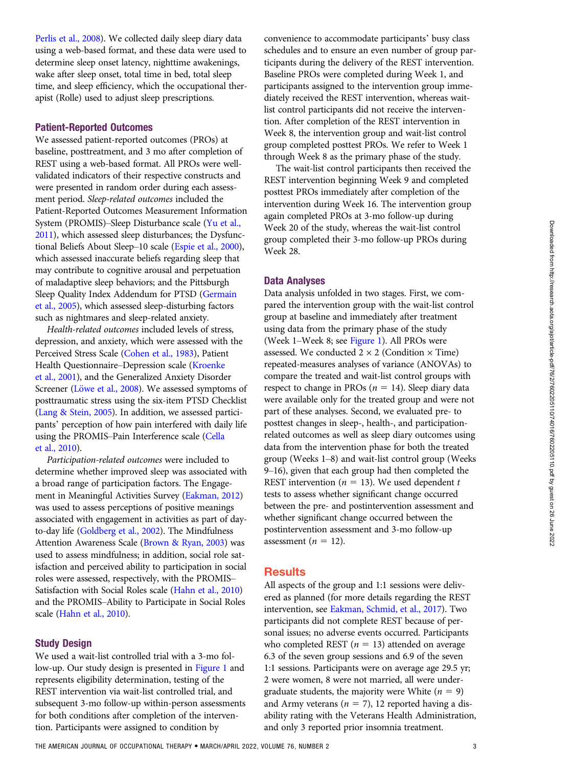[Perlis et al., 2008](#page-8-0)). We collected daily sleep diary data using a web-based format, and these data were used to determine sleep onset latency, nighttime awakenings, wake after sleep onset, total time in bed, total sleep time, and sleep efficiency, which the occupational therapist (Rolle) used to adjust sleep prescriptions.

#### Patient-Reported Outcomes

We assessed patient-reported outcomes (PROs) at baseline, posttreatment, and 3 mo after completion of REST using a web-based format. All PROs were wellvalidated indicators of their respective constructs and were presented in random order during each assessment period. Sleep-related outcomes included the Patient-Reported Outcomes Measurement Information System (PROMIS)–Sleep Disturbance scale ([Yu et al.,](#page-8-0) [2011](#page-8-0)), which assessed sleep disturbances; the Dysfunctional Beliefs About Sleep–10 scale [\(Espie et al., 2000\)](#page-7-0), which assessed inaccurate beliefs regarding sleep that may contribute to cognitive arousal and perpetuation of maladaptive sleep behaviors; and the Pittsburgh Sleep Quality Index Addendum for PTSD [\(Germain](#page-7-0) [et al., 2005](#page-7-0)), which assessed sleep-disturbing factors such as nightmares and sleep-related anxiety.

Health-related outcomes included levels of stress, depression, and anxiety, which were assessed with the Perceived Stress Scale ([Cohen et al., 1983\)](#page-7-0), Patient Health Questionnaire–Depression scale [\(Kroenke](#page-8-0) [et al., 2001](#page-8-0)), and the Generalized Anxiety Disorder Screener (Löwe et al., 2008). We assessed symptoms of posttraumatic stress using the six-item PTSD Checklist [\(Lang & Stein, 2005](#page-8-0)). In addition, we assessed participants' perception of how pain interfered with daily life using the PROMIS–Pain Interference scale ([Cella](#page-7-0) [et al., 2010](#page-7-0)).

Participation-related outcomes were included to determine whether improved sleep was associated with a broad range of participation factors. The Engagement in Meaningful Activities Survey [\(Eakman, 2012\)](#page-7-0) was used to assess perceptions of positive meanings associated with engagement in activities as part of dayto-day life ([Goldberg et al., 2002](#page-7-0)). The Mindfulness Attention Awareness Scale [\(Brown & Ryan, 2003\)](#page-7-0) was used to assess mindfulness; in addition, social role satisfaction and perceived ability to participation in social roles were assessed, respectively, with the PROMIS– Satisfaction with Social Roles scale [\(Hahn et al., 2010](#page-7-0)) and the PROMIS–Ability to Participate in Social Roles scale [\(Hahn et al., 2010\)](#page-7-0).

#### Study Design

We used a wait-list controlled trial with a 3-mo follow-up. Our study design is presented in [Figure 1](#page-3-0) and represents eligibility determination, testing of the REST intervention via wait-list controlled trial, and subsequent 3-mo follow-up within-person assessments for both conditions after completion of the intervention. Participants were assigned to condition by

convenience to accommodate participants' busy class schedules and to ensure an even number of group participants during the delivery of the REST intervention. Baseline PROs were completed during Week 1, and participants assigned to the intervention group immediately received the REST intervention, whereas waitlist control participants did not receive the intervention. After completion of the REST intervention in Week 8, the intervention group and wait-list control group completed posttest PROs. We refer to Week 1 through Week 8 as the primary phase of the study.

The wait-list control participants then received the REST intervention beginning Week 9 and completed posttest PROs immediately after completion of the intervention during Week 16. The intervention group again completed PROs at 3-mo follow-up during Week 20 of the study, whereas the wait-list control group completed their 3-mo follow-up PROs during Week 28.

#### Data Analyses

Data analysis unfolded in two stages. First, we compared the intervention group with the wait-list control group at baseline and immediately after treatment using data from the primary phase of the study (Week 1–Week 8; see [Figure 1\)](#page-3-0). All PROs were assessed. We conducted  $2 \times 2$  (Condition  $\times$  Time) repeated-measures analyses of variance (ANOVAs) to compare the treated and wait-list control groups with respect to change in PROs ( $n = 14$ ). Sleep diary data were available only for the treated group and were not part of these analyses. Second, we evaluated pre- to posttest changes in sleep-, health-, and participationrelated outcomes as well as sleep diary outcomes using data from the intervention phase for both the treated group (Weeks 1–8) and wait-list control group (Weeks 9–16), given that each group had then completed the REST intervention ( $n = 13$ ). We used dependent t tests to assess whether significant change occurred between the pre- and postintervention assessment and whether significant change occurred between the postintervention assessment and 3-mo follow-up assessment ( $n = 12$ ).

## **Results**

All aspects of the group and 1:1 sessions were delivered as planned (for more details regarding the REST intervention, see [Eakman, Schmid, et al., 2017\)](#page-7-0). Two participants did not complete REST because of personal issues; no adverse events occurred. Participants who completed REST ( $n = 13$ ) attended on average 6.3 of the seven group sessions and 6.9 of the seven 1:1 sessions. Participants were on average age 29.5 yr; 2 were women, 8 were not married, all were undergraduate students, the majority were White ( $n = 9$ ) and Army veterans ( $n = 7$ ), 12 reported having a disability rating with the Veterans Health Administration, and only 3 reported prior insomnia treatment.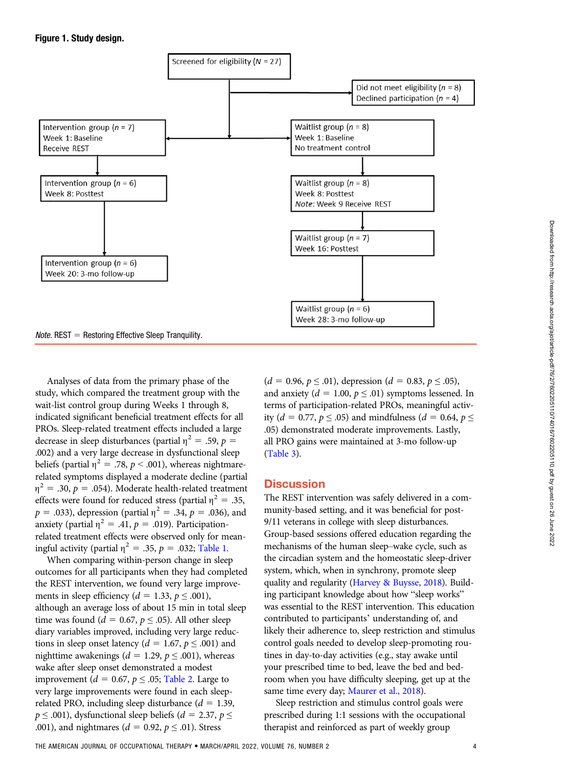<span id="page-3-0"></span>

Analyses of data from the primary phase of the study, which compared the treatment group with the wait-list control group during Weeks 1 through 8, indicated significant beneficial treatment effects for all PROs. Sleep-related treatment effects included a large decrease in sleep disturbances (partial  $\eta^2 = .59$ ,  $p =$ .002) and a very large decrease in dysfunctional sleep beliefs (partial  $\eta^2 = .78$ ,  $p < .001$ ), whereas nightmarerelated symptoms displayed a moderate decline (partial  $\eta^2 = .30, p = .054$ ). Moderate health-related treatment effects were found for reduced stress (partial  $\eta^2 = .35$ ,  $p = .033$ ), depression (partial  $\eta^2 = .34$ ,  $p = .036$ ), and anxiety (partial  $\eta^2 = .41$ ,  $p = .019$ ). Participationrelated treatment effects were observed only for meaningful activity (partial  $\eta^2 = .35$ ,  $p = .032$ ; [Table 1](#page-4-0).

When comparing within-person change in sleep outcomes for all participants when they had completed the REST intervention, we found very large improvements in sleep efficiency ( $d = 1.33$ ,  $p \le 0.001$ ), although an average loss of about 15 min in total sleep time was found ( $d = 0.67$ ,  $p \leq .05$ ). All other sleep diary variables improved, including very large reductions in sleep onset latency ( $d = 1.67$ ,  $p \le 0.001$ ) and nighttime awakenings ( $d = 1.29$ ,  $p \le 0.001$ ), whereas wake after sleep onset demonstrated a modest improvement ( $d = 0.67$ ,  $p \leq .05$ ; [Table 2](#page-4-1). Large to very large improvements were found in each sleeprelated PRO, including sleep disturbance ( $d = 1.39$ ,  $p \leq .001$ ), dysfunctional sleep beliefs ( $d = 2.37$ ,  $p \leq$ .001), and nightmares ( $d = 0.92$ ,  $p \le 0.01$ ). Stress

 $(d = 0.96, p \le 0.01)$ , depression  $(d = 0.83, p \le 0.05)$ , and anxiety ( $d = 1.00$ ,  $p \leq .01$ ) symptoms lessened. In terms of participation-related PROs, meaningful activity (*d* = 0.77, *p*  $\le$  .05) and mindfulness (*d* = 0.64, *p*  $\le$ .05) demonstrated moderate improvements. Lastly, all PRO gains were maintained at 3-mo follow-up [\(Table 3](#page-5-0)).

## **Discussion**

The REST intervention was safely delivered in a community-based setting, and it was beneficial for post-9/11 veterans in college with sleep disturbances. Group-based sessions offered education regarding the mechanisms of the human sleep–wake cycle, such as the circadian system and the homeostatic sleep-driver system, which, when in synchrony, promote sleep quality and regularity [\(Harvey & Buysse, 2018\)](#page-7-0). Building participant knowledge about how "sleep works" was essential to the REST intervention. This education contributed to participants' understanding of, and likely their adherence to, sleep restriction and stimulus control goals needed to develop sleep-promoting routines in day-to-day activities (e.g., stay awake until your prescribed time to bed, leave the bed and bedroom when you have difficulty sleeping, get up at the same time every day; [Maurer et al., 2018](#page-8-0)).

Sleep restriction and stimulus control goals were prescribed during 1:1 sessions with the occupational therapist and reinforced as part of weekly group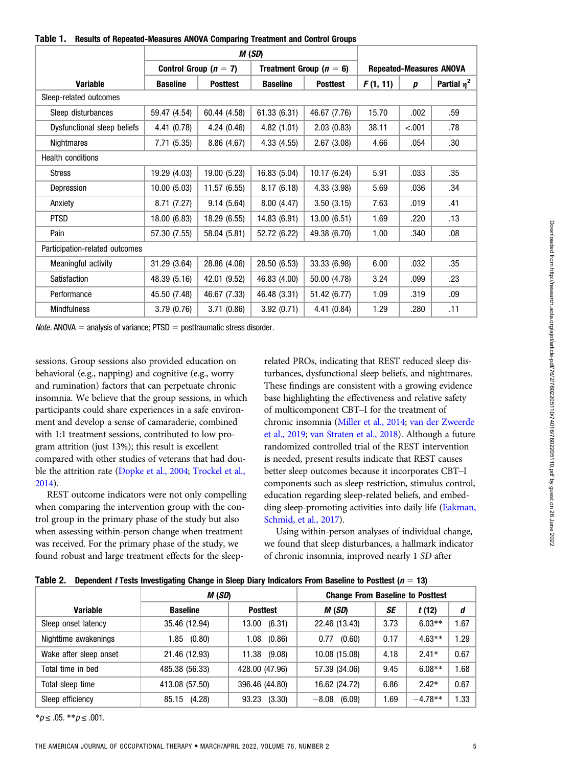<span id="page-4-0"></span>

|  | Table 1. Results of Repeated-Measures ANOVA Comparing Treatment and Control Groups |  |  |  |
|--|------------------------------------------------------------------------------------|--|--|--|
|--|------------------------------------------------------------------------------------|--|--|--|

|                                |                 |                           | M(SD)           |                             |          |        |                                |
|--------------------------------|-----------------|---------------------------|-----------------|-----------------------------|----------|--------|--------------------------------|
|                                |                 | Control Group ( $n = 7$ ) |                 | Treatment Group ( $n = 6$ ) |          |        | <b>Repeated-Measures ANOVA</b> |
| <b>Variable</b>                | <b>Baseline</b> | <b>Posttest</b>           | <b>Baseline</b> | <b>Posttest</b>             | F(1, 11) | p      | Partial $\eta^2$               |
| Sleep-related outcomes         |                 |                           |                 |                             |          |        |                                |
| Sleep disturbances             | 59.47 (4.54)    | 60.44 (4.58)              | 61.33 (6.31)    | 46.67 (7.76)                | 15.70    | .002   | .59                            |
| Dysfunctional sleep beliefs    | 4.41(0.78)      | 4.24(0.46)                | 4.82(1.01)      | 2.03(0.83)                  | 38.11    | < .001 | .78                            |
| Nightmares                     | 7.71(5.35)      | 8.86(4.67)                | 4.33(4.55)      | 2.67(3.08)                  | 4.66     | .054   | .30                            |
| <b>Health conditions</b>       |                 |                           |                 |                             |          |        |                                |
| <b>Stress</b>                  | 19.29 (4.03)    | 19.00 (5.23)              | 16.83 (5.04)    | 10.17(6.24)                 | 5.91     | .033   | .35                            |
| Depression                     | 10.00(5.03)     | 11.57(6.55)               | 8.17(6.18)      | 4.33 (3.98)                 | 5.69     | .036   | .34                            |
| Anxiety                        | 8.71(7.27)      | 9.14(5.64)                | 8.00(4.47)      | 3.50(3.15)                  | 7.63     | .019   | .41                            |
| <b>PTSD</b>                    | 18.00 (6.83)    | 18.29 (6.55)              | 14.83 (6.91)    | 13.00(6.51)                 | 1.69     | .220   | .13                            |
| Pain                           | 57.30 (7.55)    | 58.04 (5.81)              | 52.72 (6.22)    | 49.38 (6.70)                | 1.00     | .340   | .08                            |
| Participation-related outcomes |                 |                           |                 |                             |          |        |                                |
| Meaningful activity            | 31.29 (3.64)    | 28.86 (4.06)              | 28.50 (6.53)    | 33.33 (6.98)                | 6.00     | .032   | .35                            |
| Satisfaction                   | 48.39 (5.16)    | 42.01 (9.52)              | 46.83 (4.00)    | 50.00 (4.78)                | 3.24     | .099   | .23                            |
| Performance                    | 45.50 (7.48)    | 46.67 (7.33)              | 46.48 (3.31)    | 51.42 (6.77)                | 1.09     | .319   | .09                            |
| <b>Mindfulness</b>             | 3.79(0.76)      | 3.71(0.86)                | 3.92(0.71)      | 4.41(0.84)                  | 1.29     | .280   | .11                            |

*Note.* ANOVA  $=$  analysis of variance; PTSD  $=$  posttraumatic stress disorder.

sessions. Group sessions also provided education on behavioral (e.g., napping) and cognitive (e.g., worry and rumination) factors that can perpetuate chronic insomnia. We believe that the group sessions, in which participants could share experiences in a safe environment and develop a sense of camaraderie, combined with 1:1 treatment sessions, contributed to low program attrition (just 13%); this result is excellent compared with other studies of veterans that had double the attrition rate ([Dopke et al., 2004;](#page-7-0) [Trockel et al.,](#page-8-0) [2014](#page-8-0)).

REST outcome indicators were not only compelling when comparing the intervention group with the control group in the primary phase of the study but also when assessing within-person change when treatment was received. For the primary phase of the study, we found robust and large treatment effects for the sleeprelated PROs, indicating that REST reduced sleep disturbances, dysfunctional sleep beliefs, and nightmares. These findings are consistent with a growing evidence base highlighting the effectiveness and relative safety of multicomponent CBT–I for the treatment of chronic insomnia ([Miller et al., 2014](#page-8-0); [van der Zweerde](#page-8-0) [et al., 2019;](#page-8-0) [van Straten et al., 2018](#page-8-0)). Although a future randomized controlled trial of the REST intervention is needed, present results indicate that REST causes better sleep outcomes because it incorporates CBT–I components such as sleep restriction, stimulus control, education regarding sleep-related beliefs, and embedding sleep-promoting activities into daily life ([Eakman,](#page-7-0) [Schmid, et al., 2017](#page-7-0)).

Using within-person analyses of individual change, we found that sleep disturbances, a hallmark indicator of chronic insomnia, improved nearly 1 SD after

<span id="page-4-1"></span>

|  |  |  | Table 2. Dependent t Tests Investigating Change in Sleep Diary Indicators From Baseline to Posttest ( $n = 13$ ) |
|--|--|--|------------------------------------------------------------------------------------------------------------------|
|--|--|--|------------------------------------------------------------------------------------------------------------------|

|                        | M (SD)          |                 | <b>Change From Baseline to Posttest</b> |      |           |      |
|------------------------|-----------------|-----------------|-----------------------------------------|------|-----------|------|
| <b>Variable</b>        | <b>Baseline</b> | <b>Posttest</b> | M (SD)                                  | SE   | t(12)     | d    |
| Sleep onset latency    | 35.46 (12.94)   | (6.31)<br>13.00 | 22.46 (13.43)                           | 3.73 | $6.03**$  | .67  |
| Nighttime awakenings   | (0.80)<br>1.85  | 1.08<br>(0.86)  | (0.60)<br>0.77                          | 0.17 | $4.63**$  | .29  |
| Wake after sleep onset | 21.46 (12.93)   | 11.38 (9.08)    | 10.08 (15.08)                           | 4.18 | $2.41*$   | 0.67 |
| Total time in bed      | 485.38 (56.33)  | 428.00 (47.96)  | 57.39 (34.06)                           | 9.45 | $6.08**$  | 1.68 |
| Total sleep time       | 413.08 (57.50)  | 396.46 (44.80)  | 16.62 (24.72)                           | 6.86 | $2.42*$   | 0.67 |
| Sleep efficiency       | 85.15 (4.28)    | (3.30)<br>93.23 | $-8.08$<br>(6.09)                       | 1.69 | $-4.78**$ | .33  |

 $**p* ≤ .05. ***p* ≤ .001.$ 

Downloaded from http://research.aota.org/ajot/article-pdf/76/2/06110/74016/7602205110.pdf by guest on 26 June 2022 Downloaded from http://research.aota.org/ajot/article-pdf/76/2/7602205110/74016/7602205110.pdf by guest on 26 June 2022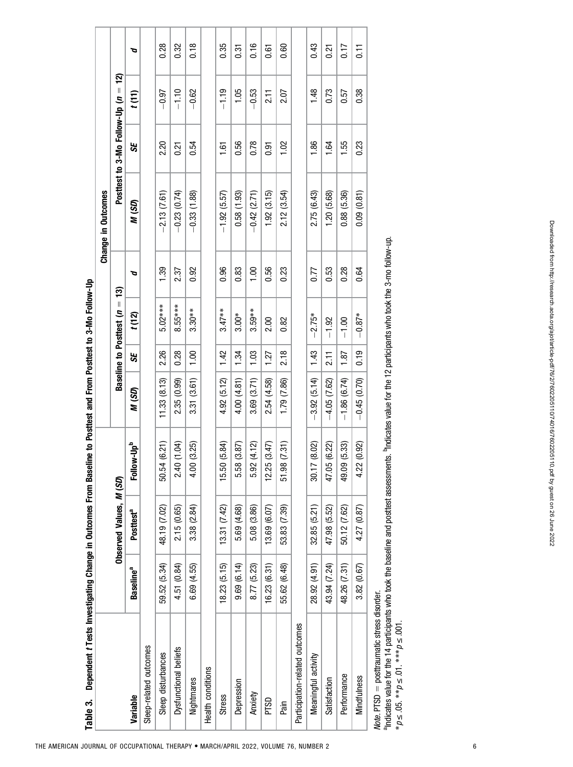<span id="page-5-0"></span>

| Dependent t Tests Investigating Change in Outcomes From Basel<br>Table 3. |                       |                         |                        | ine to Posttest and From Posttest to 3-Mo Follow-Up |                   |                             |      | Change in Outcomes |                                   |           |                  |
|---------------------------------------------------------------------------|-----------------------|-------------------------|------------------------|-----------------------------------------------------|-------------------|-----------------------------|------|--------------------|-----------------------------------|-----------|------------------|
|                                                                           |                       | Observed Values, M (SD) |                        |                                                     |                   | Baseline to Posttest $(n =$ | 13)  |                    | Posttest to 3-Mo Follow-Up $(n =$ | <u>์จ</u> |                  |
| Variable                                                                  | Baseline <sup>a</sup> | Posttest <sup>a</sup>   | Follow-Up <sup>b</sup> | N (SD)                                              | 55                | t(12)                       | ত    | M (SD)             | 55                                | t(11)     | ত                |
| Sleep-related outcomes                                                    |                       |                         |                        |                                                     |                   |                             |      |                    |                                   |           |                  |
| Sleep disturbances                                                        | 59.52 (5.34)          | 48.19 (7.02)            | (6.21)<br>50.54        | 11.33(8.13)                                         | 2.26              | $5.02***$                   | 1.39 | $-2.13(7.61)$      | 2.20                              | $-0.97$   | 0.28             |
| Dysfunctional beliefs                                                     | 4.51 (0.84)           | 2.15 (0.65)             | (1.04)<br>2.40         | 2.35 (0.99)                                         | 0.28              | $8.55***$                   | 2.37 | $-0.23(0.74)$      | 0.21                              | $-1.10$   | 0.32             |
| Nightmares                                                                | 6.69 (4.55)           | 3.38 (2.84)             | (3.25)<br>4.00         | 3.31 (3.61)                                         | 1,00              | $3.30**$                    | 0.92 | $-0.33(1.88)$      | 0.54                              | $-0.62$   | 0.18             |
| Health conditions                                                         |                       |                         |                        |                                                     |                   |                             |      |                    |                                   |           |                  |
| <b>Stress</b>                                                             | 18.23 (5.15)          | $(7.31)$ $(7.42)$       | (5.84)<br>15.50        | 4.92 (5.12)                                         | 142               | $3.47**$                    | 0.96 | $-1.92(5.57)$      | 1.61                              | $-1.19$   | 0.35             |
| Depression                                                                | 9.69(6.14)            | 5.69 (4.68)             | (3.87)<br>5.58         | 4.00 (4.81)                                         | 1.34              | $3.00*$                     | 0.83 | 0.58(1.93)         | 0.56                              | 1.05      | 0.31             |
| Anxiety                                                                   | 8.77 (5.23)           | 5.08 (3.86)             | (4.12)<br>5.92         | 3.69 (3.71)                                         | 1.03              | $3.59**$                    | 1.00 | $-0.42$ (2.71)     | 0.78                              | $-0.53$   | 0.16             |
| PTSD                                                                      | 16.23 (6.31)          | 13.69 (6.07)            | (3.47)<br>12.25        | 2.54 (4.58)                                         | 1.27              | 2.00                        | 0.56 | 1.92(3.15)         | <b>b.5</b>                        | 211       | 0.61             |
| Pain                                                                      | 55.62 (6.48)          | 53.83 (7.39)            | (7.31)<br>51.98        | 1.79 (7.86)                                         | 218               | 0.82                        | 0.23 | 2.12(3.54)         | 1.02                              | 2.07      | 0.60             |
| Participation-related outcomes                                            |                       |                         |                        |                                                     |                   |                             |      |                    |                                   |           |                  |
| Meaningful activity                                                       | 28.92 (4.91)          | 32.85 (5.21)            | (8.02)<br>30.17        | $-3.92(5.14)$                                       | 1.43              | $-2.75*$                    | 0.77 | 2.75 (6.43)        | 1.86                              | 1.48      | 0.43             |
| Satisfaction                                                              | 43.94 (7.24)          | 47.98 (5.52)            | (6.22)<br>47.05        | $-4.05(7.62)$                                       | $\overline{2.11}$ | $-1.92$                     | 0.53 | 1.20(5.68)         | 1.64                              | 0.73      | 0.21             |
| Performance                                                               | 48.26 (7.31)          | 50.12 (7.62)            | (5.33)<br>49.09        | $-1.86(6.74)$                                       | 1.87              | $-1.00$                     | 0.28 | 0.88 (5.36)        | 1.55                              | 0.57      | 0.17             |
| <b>Mindfulness</b>                                                        | 3.82(0.67)            | 4.27 (0.87)             | (0.92)<br>4.22         | $-0.45(0.70)$                                       | 0.19              | $-0.87*$                    | 0.64 | 0.09(0.81)         | 0.23                              | 0.38      | $\overline{0}$ . |
| Note. PTSD = posttraumatic stress disorder.                               |                       |                         |                        |                                                     |                   |                             |      |                    |                                   |           |                  |

aIndicates value for the 14 participants who took the baseline and posttest assessments. bIndicates value for the 12 participants who took the 3-mo follow-up. \*p≤.05. \*\*p≤.01. \*\*\*p≤.001.

THE AMERICAN JOURNAL OF OCCUPATIONAL THERAPY . MARCH/APRIL 2022, VOLUME 76, NUMBER 2 6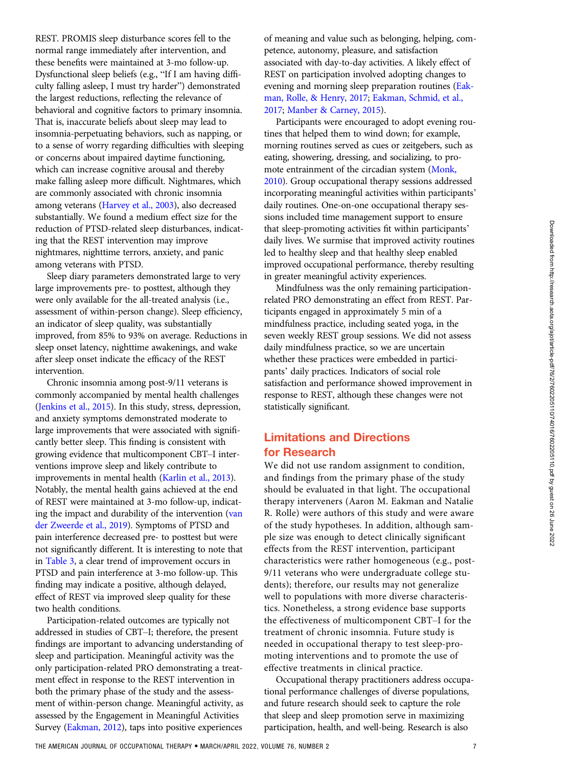REST. PROMIS sleep disturbance scores fell to the normal range immediately after intervention, and these benefits were maintained at 3-mo follow-up. Dysfunctional sleep beliefs (e.g., "If I am having difficulty falling asleep, I must try harder") demonstrated the largest reductions, reflecting the relevance of behavioral and cognitive factors to primary insomnia. That is, inaccurate beliefs about sleep may lead to insomnia-perpetuating behaviors, such as napping, or to a sense of worry regarding difficulties with sleeping or concerns about impaired daytime functioning, which can increase cognitive arousal and thereby make falling asleep more difficult. Nightmares, which are commonly associated with chronic insomnia among veterans [\(Harvey et al., 2003](#page-8-0)), also decreased substantially. We found a medium effect size for the reduction of PTSD-related sleep disturbances, indicating that the REST intervention may improve nightmares, nighttime terrors, anxiety, and panic among veterans with PTSD.

Sleep diary parameters demonstrated large to very large improvements pre- to posttest, although they were only available for the all-treated analysis (i.e., assessment of within-person change). Sleep efficiency, an indicator of sleep quality, was substantially improved, from 85% to 93% on average. Reductions in sleep onset latency, nighttime awakenings, and wake after sleep onset indicate the efficacy of the REST intervention.

Chronic insomnia among post-9/11 veterans is commonly accompanied by mental health challenges [\(Jenkins et al., 2015\)](#page-8-0). In this study, stress, depression, and anxiety symptoms demonstrated moderate to large improvements that were associated with significantly better sleep. This finding is consistent with growing evidence that multicomponent CBT–I interventions improve sleep and likely contribute to improvements in mental health ([Karlin et al., 2013](#page-8-0)). Notably, the mental health gains achieved at the end of REST were maintained at 3-mo follow-up, indicating the impact and durability of the intervention ([van](#page-8-0) [der Zweerde et al., 2019\)](#page-8-0). Symptoms of PTSD and pain interference decreased pre- to posttest but were not significantly different. It is interesting to note that in [Table 3,](#page-5-0) a clear trend of improvement occurs in PTSD and pain interference at 3-mo follow-up. This finding may indicate a positive, although delayed, effect of REST via improved sleep quality for these two health conditions.

Participation-related outcomes are typically not addressed in studies of CBT–I; therefore, the present findings are important to advancing understanding of sleep and participation. Meaningful activity was the only participation-related PRO demonstrating a treatment effect in response to the REST intervention in both the primary phase of the study and the assessment of within-person change. Meaningful activity, as assessed by the Engagement in Meaningful Activities Survey [\(Eakman, 2012\)](#page-7-0), taps into positive experiences

of meaning and value such as belonging, helping, competence, autonomy, pleasure, and satisfaction associated with day-to-day activities. A likely effect of REST on participation involved adopting changes to evening and morning sleep preparation routines ([Eak](#page-7-0)[man, Rolle, & Henry, 2017](#page-7-0); [Eakman, Schmid, et al.,](#page-7-0) [2017](#page-7-0); [Manber & Carney, 2015](#page-8-0)).

Participants were encouraged to adopt evening routines that helped them to wind down; for example, morning routines served as cues or zeitgebers, such as eating, showering, dressing, and socializing, to promote entrainment of the circadian system [\(Monk,](#page-8-0) [2010](#page-8-0)). Group occupational therapy sessions addressed incorporating meaningful activities within participants' daily routines. One-on-one occupational therapy sessions included time management support to ensure that sleep-promoting activities fit within participants' daily lives. We surmise that improved activity routines led to healthy sleep and that healthy sleep enabled improved occupational performance, thereby resulting in greater meaningful activity experiences.

Mindfulness was the only remaining participationrelated PRO demonstrating an effect from REST. Participants engaged in approximately 5 min of a mindfulness practice, including seated yoga, in the seven weekly REST group sessions. We did not assess daily mindfulness practice, so we are uncertain whether these practices were embedded in participants' daily practices. Indicators of social role satisfaction and performance showed improvement in response to REST, although these changes were not statistically significant.

## Limitations and Directions for Research

We did not use random assignment to condition, and findings from the primary phase of the study should be evaluated in that light. The occupational therapy interveners (Aaron M. Eakman and Natalie R. Rolle) were authors of this study and were aware of the study hypotheses. In addition, although sample size was enough to detect clinically significant effects from the REST intervention, participant characteristics were rather homogeneous (e.g., post-9/11 veterans who were undergraduate college students); therefore, our results may not generalize well to populations with more diverse characteristics. Nonetheless, a strong evidence base supports the effectiveness of multicomponent CBT–I for the treatment of chronic insomnia. Future study is needed in occupational therapy to test sleep-promoting interventions and to promote the use of effective treatments in clinical practice.

Occupational therapy practitioners address occupational performance challenges of diverse populations, and future research should seek to capture the role that sleep and sleep promotion serve in maximizing participation, health, and well-being. Research is also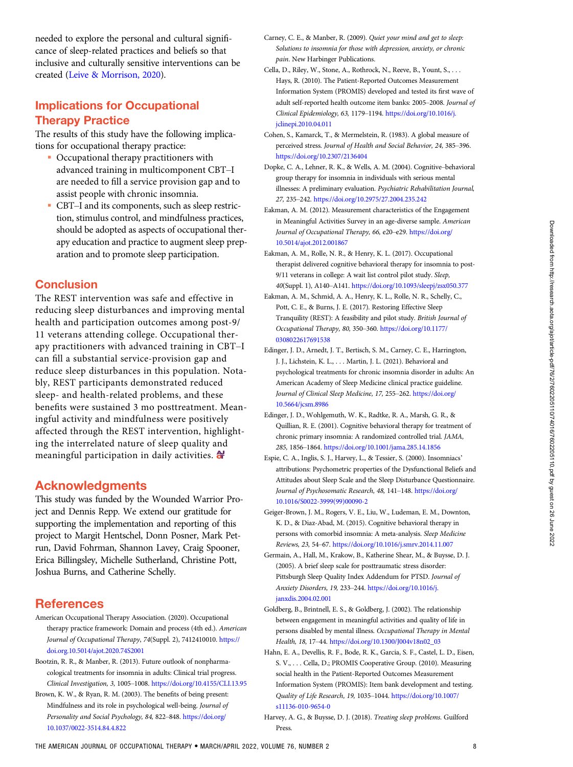<span id="page-7-0"></span>needed to explore the personal and cultural significance of sleep-related practices and beliefs so that inclusive and culturally sensitive interventions can be created [\(Leive & Morrison, 2020\)](#page-8-0).

# Implications for Occupational Therapy Practice

The results of this study have the following implications for occupational therapy practice:

- Occupational therapy practitioners with advanced training in multicomponent CBT–I are needed to fill a service provision gap and to assist people with chronic insomnia.
- CBT–I and its components, such as sleep restriction, stimulus control, and mindfulness practices, should be adopted as aspects of occupational therapy education and practice to augment sleep preparation and to promote sleep participation.

## **Conclusion**

The REST intervention was safe and effective in reducing sleep disturbances and improving mental health and participation outcomes among post-9/ 11 veterans attending college. Occupational therapy practitioners with advanced training in CBT–I can fill a substantial service-provision gap and reduce sleep disturbances in this population. Notably, REST participants demonstrated reduced sleep- and health-related problems, and these benefits were sustained 3 mo posttreatment. Meaningful activity and mindfulness were positively affected through the REST intervention, highlighting the interrelated nature of sleep quality and meaningful participation in daily activities.  $\bigoplus$ 

## Acknowledgments

This study was funded by the Wounded Warrior Project and Dennis Repp. We extend our gratitude for supporting the implementation and reporting of this project to Margit Hentschel, Donn Posner, Mark Petrun, David Fohrman, Shannon Lavey, Craig Spooner, Erica Billingsley, Michelle Sutherland, Christine Pott, Joshua Burns, and Catherine Schelly.

## **References**

- American Occupational Therapy Association. (2020). Occupational therapy practice framework: Domain and process (4th ed.). American Journal of Occupational Therapy, 74(Suppl. 2), 7412410010. [https://](https://doi.org.10.5014/ajot.2020.74S2001) [doi.org.10.5014/ajot.2020.74S2001](https://doi.org.10.5014/ajot.2020.74S2001)
- Bootzin, R. R., & Manber, R. (2013). Future outlook of nonpharmacological treatments for insomnia in adults: Clinical trial progress. Clinical Investigation, 3, 1005–1008. <https://doi.org/10.4155/CLI.13.95>
- Brown, K. W., & Ryan, R. M. (2003). The benefits of being present: Mindfulness and its role in psychological well-being. Journal of Personality and Social Psychology, 84, 822–848. [https://doi.org/](https://doi.org/10.1037/0022-3514.84.4.822) [10.1037/0022-3514.84.4.822](https://doi.org/10.1037/0022-3514.84.4.822)
- Carney, C. E., & Manber, R. (2009). Quiet your mind and get to sleep: Solutions to insomnia for those with depression, anxiety, or chronic pain. New Harbinger Publications.
- Cella, D., Riley, W., Stone, A., Rothrock, N., Reeve, B., Yount, S., . . . Hays, R. (2010). The Patient-Reported Outcomes Measurement Information System (PROMIS) developed and tested its first wave of adult self-reported health outcome item banks: 2005–2008. Journal of Clinical Epidemiology, 63, 1179–1194. [https://doi.org/10.1016/j.](https://doi.org/10.1016/j.jclinepi.2010.04.011) [jclinepi.2010.04.011](https://doi.org/10.1016/j.jclinepi.2010.04.011)
- Cohen, S., Kamarck, T., & Mermelstein, R. (1983). A global measure of perceived stress. Journal of Health and Social Behavior, 24, 385–396. <https://doi.org/10.2307/2136404>
- Dopke, C. A., Lehner, R. K., & Wells, A. M. (2004). Cognitive–behavioral group therapy for insomnia in individuals with serious mental illnesses: A preliminary evaluation. Psychiatric Rehabilitation Journal, 27, 235–242. <https://doi.org/10.2975/27.2004.235.242>
- Eakman, A. M. (2012). Measurement characteristics of the Engagement in Meaningful Activities Survey in an age-diverse sample. American Journal of Occupational Therapy, 66, e20–e29. [https://doi.org/](https://doi.org/10.5014/ajot.2012.001867) [10.5014/ajot.2012.001867](https://doi.org/10.5014/ajot.2012.001867)
- Eakman, A. M., Rolle, N. R., & Henry, K. L. (2017). Occupational therapist delivered cognitive behavioral therapy for insomnia to post-9/11 veterans in college: A wait list control pilot study. Sleep, 40(Suppl. 1), A140–A141. <https://doi.org/10.1093/sleepj/zsx050.377>
- Eakman, A. M., Schmid, A. A., Henry, K. L., Rolle, N. R., Schelly, C., Pott, C. E., & Burns, J. E. (2017). Restoring Effective Sleep Tranquility (REST): A feasibility and pilot study. British Journal of Occupational Therapy, 80, 350–360. [https://doi.org/10.1177/](https://doi.org/10.1177/0308022617691538) [0308022617691538](https://doi.org/10.1177/0308022617691538)
- Edinger, J. D., Arnedt, J. T., Bertisch, S. M., Carney, C. E., Harrington, J. J., Lichstein, K. L., . . . Martin, J. L. (2021). Behavioral and psychological treatments for chronic insomnia disorder in adults: An American Academy of Sleep Medicine clinical practice guideline. Journal of Clinical Sleep Medicine, 17, 255–262. [https://doi.org/](https://doi.org/10.5664/jcsm.8986) [10.5664/jcsm.8986](https://doi.org/10.5664/jcsm.8986)
- Edinger, J. D., Wohlgemuth, W. K., Radtke, R. A., Marsh, G. R., & Quillian, R. E. (2001). Cognitive behavioral therapy for treatment of chronic primary insomnia: A randomized controlled trial. JAMA, 285, 1856–1864. <https://doi.org/10.1001/jama.285.14.1856>
- Espie, C. A., Inglis, S. J., Harvey, L., & Tessier, S. (2000). Insomniacs' attributions: Psychometric properties of the Dysfunctional Beliefs and Attitudes about Sleep Scale and the Sleep Disturbance Questionnaire. Journal of Psychosomatic Research, 48, 141-148. [https://doi.org/](https://doi.org/10.1016/S0022-3999(99)00090-2) [10.1016/S0022-3999\(99\)00090-2](https://doi.org/10.1016/S0022-3999(99)00090-2)
- Geiger-Brown, J. M., Rogers, V. E., Liu, W., Ludeman, E. M., Downton, K. D., & Diaz-Abad, M. (2015). Cognitive behavioral therapy in persons with comorbid insomnia: A meta-analysis. Sleep Medicine Reviews, 23, 54–67. <https://doi.org/10.1016/j.smrv.2014.11.007>
- Germain, A., Hall, M., Krakow, B., Katherine Shear, M., & Buysse, D. J. (2005). A brief sleep scale for posttraumatic stress disorder: Pittsburgh Sleep Quality Index Addendum for PTSD. Journal of Anxiety Disorders, 19, 233–244. [https://doi.org/10.1016/j.](https://doi.org/10.1016/j.janxdis.2004.02.001) [janxdis.2004.02.001](https://doi.org/10.1016/j.janxdis.2004.02.001)
- Goldberg, B., Brintnell, E. S., & Goldberg, J. (2002). The relationship between engagement in meaningful activities and quality of life in persons disabled by mental illness. Occupational Therapy in Mental Health, 18, 17–44. [https://doi.org/10.1300/J004v18n02\\_03](https://doi.org/10.1300/J004v18n02_03)
- Hahn, E. A., Devellis, R. F., Bode, R. K., Garcia, S. F., Castel, L. D., Eisen, S. V., . . . Cella, D.; PROMIS Cooperative Group. (2010). Measuring social health in the Patient-Reported Outcomes Measurement Information System (PROMIS): Item bank development and testing. Quality of Life Research, 19, 1035–1044. [https://doi.org/10.1007/](https://doi.org/10.1007/s11136-010-9654-0) [s11136-010-9654-0](https://doi.org/10.1007/s11136-010-9654-0)
- Harvey, A. G., & Buysse, D. J. (2018). Treating sleep problems. Guilford Press.